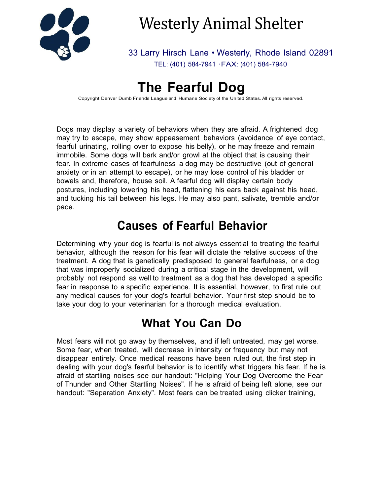

# Westerly Animal Shelter

33 Larry Hirsch Lane • Westerly, Rhode Island 02891 TEL: (401) 584-7941 ·FAX: (401) 584-7940

## **The Fearful Dog**

Copyright Denver Dumb Friends League and Humane Society of the United States. All rights reserved.

Dogs may display a variety of behaviors when they are afraid. A frightened dog may try to escape, may show appeasement behaviors (avoidance of eye contact, fearful urinating, rolling over to expose his belly), or he may freeze and remain immobile. Some dogs will bark and/or growl at the object that is causing their fear. In extreme cases of fearfulness a dog may be destructive (out of general anxiety or in an attempt to escape), or he may lose control of his bladder or bowels and, therefore, house soil. A fearful dog will display certain body postures, including lowering his head, flattening his ears back against his head, and tucking his tail between his legs. He may also pant, salivate, tremble and/or pace.

## **Causes of Fearful Behavior**

Determining why your dog is fearful is not always essential to treating the fearful behavior, although the reason for his fear will dictate the relative success of the treatment. A dog that is genetically predisposed to general fearfulness, or a dog that was improperly socialized during a critical stage in the development, will probably not respond as well to treatment as a dog that has developed a specific fear in response to a specific experience. It is essential, however, to first rule out any medical causes for your dog's fearful behavior. Your first step should be to take your dog to your veterinarian for a thorough medical evaluation.

#### **What You Can Do**

Most fears will not go away by themselves, and if left untreated, may get worse. Some fear, when treated, will decrease in intensity or frequency but may not disappear entirely. Once medical reasons have been ruled out, the first step in dealing with your dog's fearful behavior is to identify what triggers his fear. If he is afraid of startling noises see our handout: "Helping Your Dog Overcome the Fear of Thunder and Other Startling Noises". If he is afraid of being left alone, see our handout: "Separation Anxiety". Most fears can be treated using clicker training,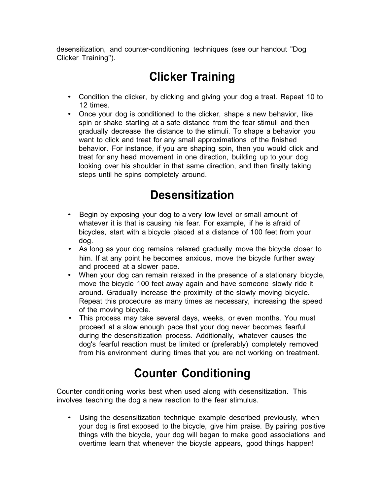desensitization, and counter-conditioning techniques (see our handout "Dog Clicker Training").

## **Clicker Training**

- Condition the clicker, by clicking and giving your dog a treat. Repeat 10 to 12 times.
- Once your dog is conditioned to the clicker, shape a new behavior, like spin or shake starting at a safe distance from the fear stimuli and then gradually decrease the distance to the stimuli. To shape a behavior you want to click and treat for any small approximations of the finished behavior. For instance, if you are shaping spin, then you would click and treat for any head movement in one direction, building up to your dog looking over his shoulder in that same direction, and then finally taking steps until he spins completely around.

## **Desensitization**

- Begin by exposing your dog to a very low level or small amount of whatever it is that is causing his fear. For example, if he is afraid of bicycles, start with a bicycle placed at a distance of 100 feet from your dog.
- As long as your dog remains relaxed gradually move the bicycle closer to him. If at any point he becomes anxious, move the bicycle further away and proceed at a slower pace.
- When your dog can remain relaxed in the presence of a stationary bicycle, move the bicycle 100 feet away again and have someone slowly ride it around. Gradually increase the proximity of the slowly moving bicycle. Repeat this procedure as many times as necessary, increasing the speed of the moving bicycle.
- This process may take several days, weeks, or even months. You must proceed at a slow enough pace that your dog never becomes fearful during the desensitization process. Additionally, whatever causes the dog's fearful reaction must be limited or (preferably) completely removed from his environment during times that you are not working on treatment.

## **Counter Conditioning**

Counter conditioning works best when used along with desensitization. This involves teaching the dog a new reaction to the fear stimulus.

• Using the desensitization technique example described previously, when your dog is first exposed to the bicycle, give him praise. By pairing positive things with the bicycle, your dog will began to make good associations and overtime learn that whenever the bicycle appears, good things happen!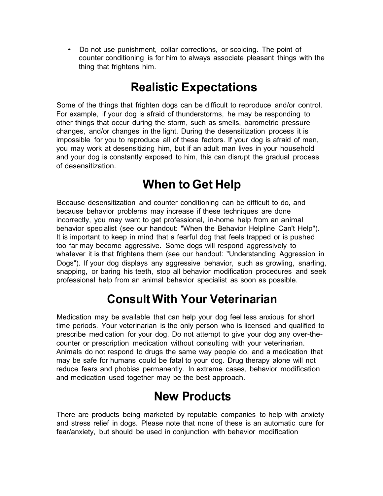• Do not use punishment, collar corrections, or scolding. The point of counter conditioning is for him to always associate pleasant things with the thing that frightens him.

## **Realistic Expectations**

Some of the things that frighten dogs can be difficult to reproduce and/or control. For example, if your dog is afraid of thunderstorms, he may be responding to other things that occur during the storm, such as smells, barometric pressure changes, and/or changes in the light. During the desensitization process it is impossible for you to reproduce all of these factors. If your dog is afraid of men, you may work at desensitizing him, but if an adult man lives in your household and your dog is constantly exposed to him, this can disrupt the gradual process of desensitization.

## **When to Get Help**

Because desensitization and counter conditioning can be difficult to do, and because behavior problems may increase if these techniques are done incorrectly, you may want to get professional, in-home help from an animal behavior specialist (see our handout: "When the Behavior Helpline Can't Help"). It is important to keep in mind that a fearful dog that feels trapped or is pushed too far may become aggressive. Some dogs will respond aggressively to whatever it is that frightens them (see our handout: "Understanding Aggression in Dogs"). If your dog displays any aggressive behavior, such as growling, snarling, snapping, or baring his teeth, stop all behavior modification procedures and seek professional help from an animal behavior specialist as soon as possible.

#### **Consult With Your Veterinarian**

Medication may be available that can help your dog feel less anxious for short time periods. Your veterinarian is the only person who is licensed and qualified to prescribe medication for your dog. Do not attempt to give your dog any over-thecounter or prescription medication without consulting with your veterinarian. Animals do not respond to drugs the same way people do, and a medication that may be safe for humans could be fatal to your dog. Drug therapy alone will not reduce fears and phobias permanently. In extreme cases, behavior modification and medication used together may be the best approach.

#### **New Products**

There are products being marketed by reputable companies to help with anxiety and stress relief in dogs. Please note that none of these is an automatic cure for fear/anxiety, but should be used in conjunction with behavior modification